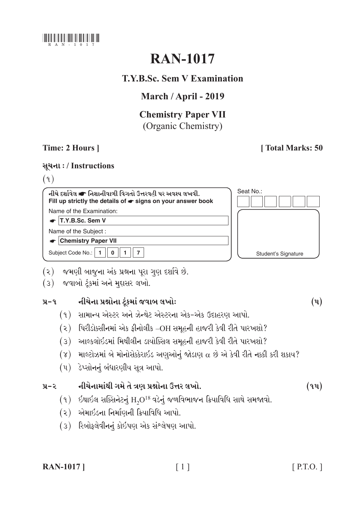

# **RAN-1017**

# **T.V.B.Sc. Sem V Examination**

# March / April - 2019

# **Chemistry Paper VII** (Organic Chemistry)

### Time: 2 Hours 1

## [Total Marks: 50

### સૂચના: / Instructions

 $(9)$ 

Seat No.: નીચે દર્શાવેલ ☞ નિશાનીવાળી વિગતો ઉત્તરવહી પર અવશ્ય લખવી. Fill up strictly the details of  $\bullet$  signs on your answer book Name of the Examination:  $\bullet$  T.Y.B.Sc. Sem V Name of the Subject: Chemistry Paper VII Subject Code No.: | 1  $\mathbf{0}$  $1 \mid 7$ 



- (૨) જમણી બાજુના અંક પ્રશ્નના પુરા ગુણ દર્શાવે છે.
- (3) જવાબો ટૂંકમાં અને મુદ્દાસર લખો.

#### નીચેના પ્રશ્નોના ટંકમાં જવાબ લખોઃ  $y - q$

- (૧) સામાન્ય એસ્ટર અને ઝેન્થેટ એસ્ટરના એક-એક ઉદાહરણ આપો.
- (2) પિરીડોક્સીનમાં એક ફીનોલીક –OH સમૂહની હાજરી કેવી રીતે પારખશો?
- (3) આલ્કલોઇડમાં મિથીલીન ડાયોક્સિલ સમૂહની હાજરી કેવી રીતે પારખશો?
- $(8)$  માલ્ટોઝમાં બે મોનોસેક્કેરાઇડ અણુઓનું જોડાણ  $\alpha$  છે એ કેવી રીતે નક્કી કરી શકાય?
- (१) ડેપ્સોનનું બંધારણીય સૂત્ર આપો.

#### નીચેનામાંથી ગમે તે ત્રણ પ્રશ્નોના ઉત્તર લખો.  $y-z$

- $(9)$  ઇથાઇલ સક્સિનેટનું  $H_2O^{18}$  વડેનું જળવિભાજન ક્રિયાવિધિ સાથે સમજાવો.
- (૨) એમાઇડના નિર્માણની ક્રિયાવિધિ આપો.
- (3) રિબોફલેવીનનું કોઇપણ એક સંશ્લેષણ આપો.

### **RAN-1017** |

# $\lceil 1 \rceil$

 $[$  P.T.O.  $]$ 

 $(\mathbf{u})$ 

 $(9y)$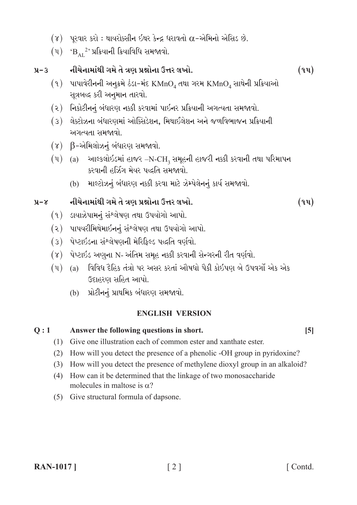- (૪) પૂરવાર કરો : થાયરોક્સીન ઇથર કેન્દ્ર ધરાવતો  $\alpha$ -એમિનો એસિડ છે.
- (१) ' $B_{AT}$ <sup>2</sup>' प्रક્રિયાની ક્રિયાવિધિ સમજાવો.

#### નીચેનામાંથી ગમે તે ત્રણ પ્રશ્નોના ઉત્તર લખો.  $y - 3$

- (૧) પાપાવેરીનની અનુક્રમે ઠંડા-મંદ KMnO<sub>4</sub> તથા ગરમ KMnO<sub>4</sub> સાથેની પ્રક્રિયાઓ સૂત્રબદ્ધ કરી અનુમાન તારવો.
- (२) નિકોટીનનું બંધારણ નક્કી કરવામાં પાઇનર પ્રક્રિયાની અગત્યતા સમજાવો.
- (૩) લેક્ટોઝના બંધારણમાં ઓક્સિડેશન, મિથાઈલેશન અને જળવિભાજન પ્રક્રિયાની અગત્યતા સમજાવો.
- $(\gamma)$   $\beta$ -એમિલોઝનું બંધારણ સમજાવો.
- આલ્કલોઇડમાં હાજર –N-CH<sub>3</sub> સમૂહની હાજરી નક્કી કરવાની તથા પરિમાપન  $(\mathfrak{y})$  (a) કરવાની હર્ઝિંગ મેયર પદ્ધતિ સમજાવો.
	- માલ્ટોઝનું બંધારણ નક્કી કરવા માટે ઝેમ્પેલેનનું કાર્ય સમજાવો.  $(h)$

#### નીચેનામાંથી ગમે તે ત્રણ પ્રશ્નોના ઉત્તર લખો.  $u - x$

- (१) ડાયાઝેપામનું સંશ્લેષણ તથા ઉપયોગો આપો.
- (૨) પાપયરીમિથેમાઇનનું સંશ્લેષણ તથા ઉપયોગો આપો.
- (3) પેપ્ટાઇડના સંશ્લેષણની મેરિકિલ્ડ પદ્ધતિ વર્ણવો.
- (૪) પેપ્ટાઇડ અણુના N- અંતિમ સમૂહ નક્કી કરવાની સેન્ગરની રીત વર્ણવો.
- (૫) (a) વિવિધ દૈહિક તંત્રો પર અસર કરતાં ઔષધો પૈકી કોઈપણ બે ઉપવર્ગો એક એક ઉદાહરણ સહિત આપો.
	- (b) પ્રોટીનનું પ્રાથમિક બંધારણ સમજાવો.

### **ENGLISH VERSION**

#### Answer the following questions in short.  $Q:1$

- (1) Give one illustration each of common ester and xanthate ester.
- (2) How will you detect the presence of a phenolic -OH group in pyridoxine?
- (3) How will you detect the presence of methylene dioxyl group in an alkaloid?
- (4) How can it be determined that the linkage of two monosaccharide molecules in maltose is  $\alpha$ ?
- (5) Give structural formula of dapsone.

 $(9y)$ 

 $(9y)$ 

 $\vert 5 \vert$